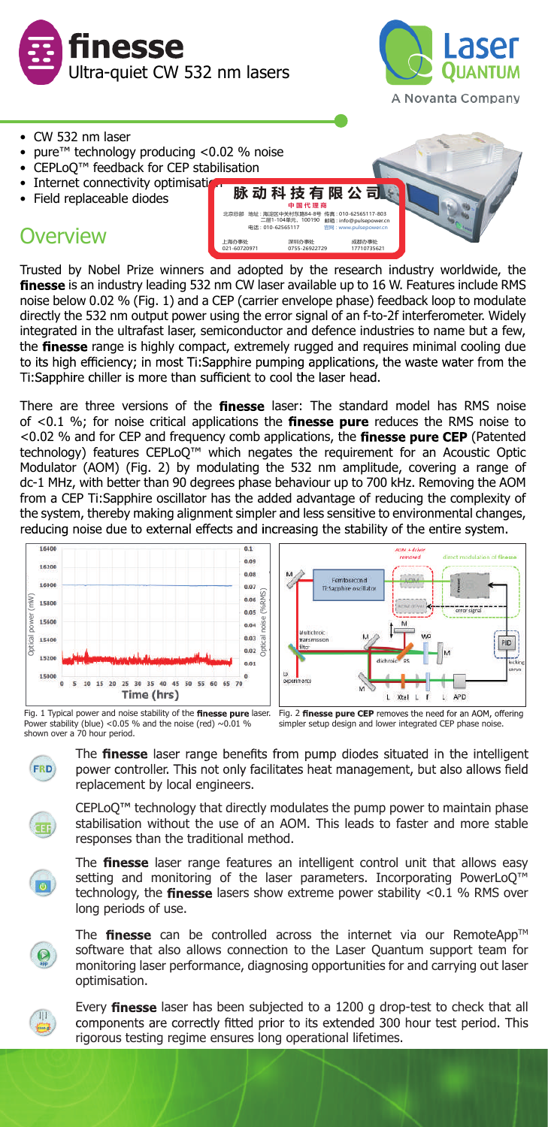



- CW 532 nm laser
- pure<sup>™</sup> technology producing <0.02 % noise
- CEPLoQ™ feedback for CEP stabilisation
- Internet connectivity optimisati
- Field replaceable diodes

# **Overview**



Trusted by Nobel Prize winners and adopted by the research industry worldwide, the finesse is an industry leading 532 nm CW laser available up to 16 W. Features include RMS noise below 0.02 % (Fig. 1) and a CEP (carrier envelope phase) feedback loop to modulate directly the 532 nm output power using the error signal of an f-to-2f interferometer. Widely integrated in the ultrafast laser, semiconductor and defence industries to name but a few, the finesse range is highly compact, extremely rugged and requires minimal cooling due to its high efficiency; in most Ti:Sapphire pumping applications, the waste water from the Ti:Sapphire chiller is more than sufficient to cool the laser head.

There are three versions of the finesse laser: The standard model has RMS noise of  $<$ 0.1 %; for noise critical applications the finesse pure reduces the RMS noise to <0.02 % and for CEP and frequency comb applications, the finesse pure CEP (Patented technology) features CEPLoQ™ which negates the requirement for an Acoustic Optic Modulator (AOM) (Fig. 2) by modulating the 532 nm amplitude, covering a range of dc-1 MHz, with better than 90 degrees phase behaviour up to 700 kHz. Removing the AOM from a CEP Ti:Sapphire oscillator has the added advantage of reducing the complexity of the system, thereby making alignment simpler and less sensitive to environmental changes, reducing noise due to external effects and increasing the stability of the entire system.



Power stability (blue) <0.05 % and the noise (red)  $~0.01$  % shown over a 70 hour period.



The **finesse** laser range benefits from pump diodes situated in the intelligent power controller. This not only facilitates heat management, but also allows field replacement by local engineers.

simpler setup design and lower integrated CEP phase noise.

CEPLoQ™ technology that directly modulates the pump power to maintain phase stabilisation without the use of an AOM. This leads to faster and more stable responses than the traditional method.



The finesse laser range features an intelligent control unit that allows easy setting and monitoring of the laser parameters. Incorporating PowerLoQ<sup>™</sup> technology, the finesse lasers show extreme power stability  $<$  0.1 % RMS over long periods of use.



The finesse can be controlled across the internet via our RemoteApp<sup>TM</sup> software that also allows connection to the Laser Quantum support team for monitoring laser performance, diagnosing opportunities for and carrying out laser optimisation.



Every finesse laser has been subjected to a 1200 g drop-test to check that all components are correctly fitted prior to its extended 300 hour test period. This rigorous testing regime ensures long operational lifetimes.